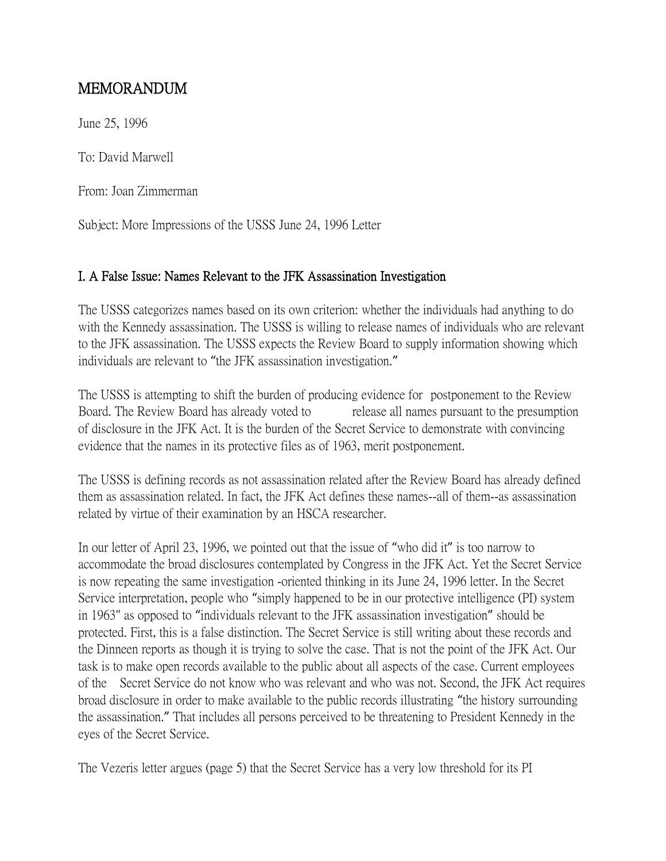# MEMORANDUM

June 25, 1996

To: David Marwell

From: Joan Zimmerman

Subject: More Impressions of the USSS June 24, 1996 Letter

## I. A False Issue: Names Relevant to the JFK Assassination Investigation

The USSS categorizes names based on its own criterion: whether the individuals had anything to do with the Kennedy assassination. The USSS is willing to release names of individuals who are relevant to the JFK assassination. The USSS expects the Review Board to supply information showing which individuals are relevant to "the JFK assassination investigation."

The USSS is attempting to shift the burden of producing evidence for postponement to the Review Board. The Review Board has already voted to release all names pursuant to the presumption of disclosure in the JFK Act. It is the burden of the Secret Service to demonstrate with convincing evidence that the names in its protective files as of 1963, merit postponement.

The USSS is defining records as not assassination related after the Review Board has already defined them as assassination related. In fact, the JFK Act defines these names--all of them--as assassination related by virtue of their examination by an HSCA researcher.

In our letter of April 23, 1996, we pointed out that the issue of "who did it" is too narrow to accommodate the broad disclosures contemplated by Congress in the JFK Act. Yet the Secret Service is now repeating the same investigation -oriented thinking in its June 24, 1996 letter. In the Secret Service interpretation, people who "simply happened to be in our protective intelligence (PI) system in 1963" as opposed to "individuals relevant to the JFK assassination investigation" should be protected. First, this is a false distinction. The Secret Service is still writing about these records and the Dinneen reports as though it is trying to solve the case. That is not the point of the JFK Act. Our task is to make open records available to the public about all aspects of the case. Current employees of the Secret Service do not know who was relevant and who was not. Second, the JFK Act requires broad disclosure in order to make available to the public records illustrating "the history surrounding the assassination." That includes all persons perceived to be threatening to President Kennedy in the eyes of the Secret Service.

The Vezeris letter argues (page 5) that the Secret Service has a very low threshold for its PI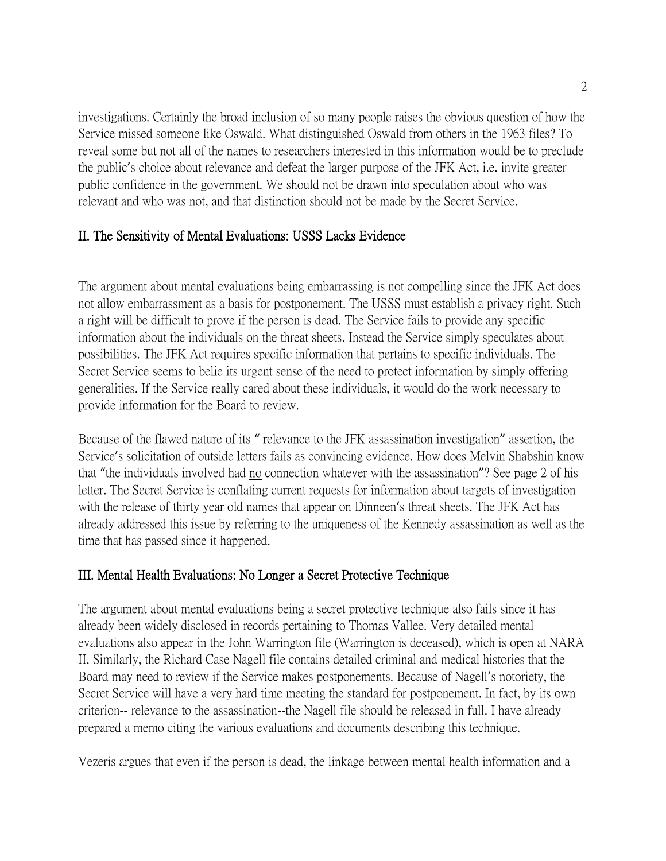investigations. Certainly the broad inclusion of so many people raises the obvious question of how the Service missed someone like Oswald. What distinguished Oswald from others in the 1963 files? To reveal some but not all of the names to researchers interested in this information would be to preclude the public's choice about relevance and defeat the larger purpose of the JFK Act, i.e. invite greater public confidence in the government. We should not be drawn into speculation about who was relevant and who was not, and that distinction should not be made by the Secret Service.

## II. The Sensitivity of Mental Evaluations: USSS Lacks Evidence

The argument about mental evaluations being embarrassing is not compelling since the JFK Act does not allow embarrassment as a basis for postponement. The USSS must establish a privacy right. Such a right will be difficult to prove if the person is dead. The Service fails to provide any specific information about the individuals on the threat sheets. Instead the Service simply speculates about possibilities. The JFK Act requires specific information that pertains to specific individuals. The Secret Service seems to belie its urgent sense of the need to protect information by simply offering generalities. If the Service really cared about these individuals, it would do the work necessary to provide information for the Board to review.

Because of the flawed nature of its " relevance to the JFK assassination investigation" assertion, the Service's solicitation of outside letters fails as convincing evidence. How does Melvin Shabshin know that "the individuals involved had no connection whatever with the assassination"? See page 2 of his letter. The Secret Service is conflating current requests for information about targets of investigation with the release of thirty year old names that appear on Dinneen's threat sheets. The JFK Act has already addressed this issue by referring to the uniqueness of the Kennedy assassination as well as the time that has passed since it happened.

#### III. Mental Health Evaluations: No Longer a Secret Protective Technique

The argument about mental evaluations being a secret protective technique also fails since it has already been widely disclosed in records pertaining to Thomas Vallee. Very detailed mental evaluations also appear in the John Warrington file (Warrington is deceased), which is open at NARA II. Similarly, the Richard Case Nagell file contains detailed criminal and medical histories that the Board may need to review if the Service makes postponements. Because of Nagell's notoriety, the Secret Service will have a very hard time meeting the standard for postponement. In fact, by its own criterion-- relevance to the assassination--the Nagell file should be released in full. I have already prepared a memo citing the various evaluations and documents describing this technique.

Vezeris argues that even if the person is dead, the linkage between mental health information and a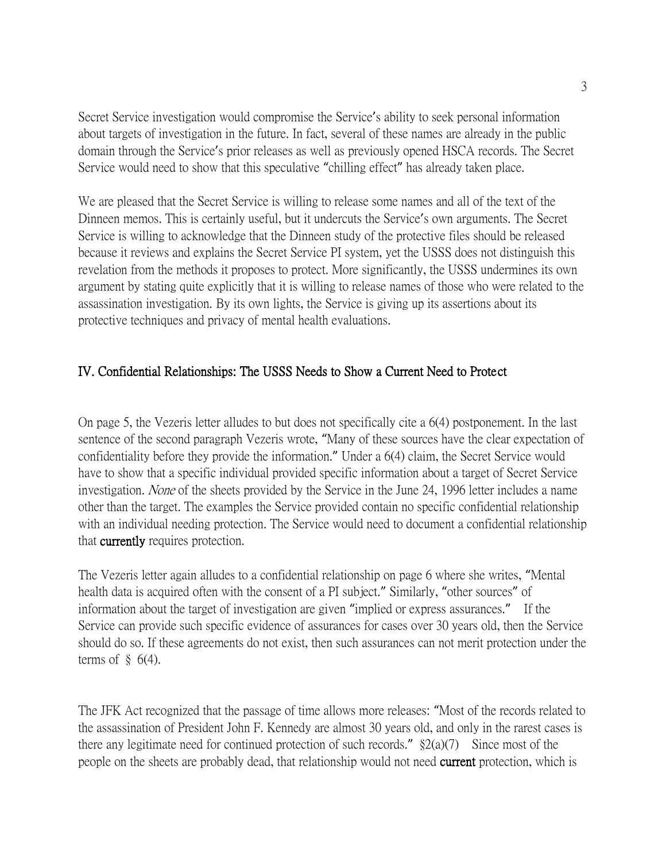Secret Service investigation would compromise the Service's ability to seek personal information about targets of investigation in the future. In fact, several of these names are already in the public domain through the Service's prior releases as well as previously opened HSCA records. The Secret Service would need to show that this speculative "chilling effect" has already taken place.

We are pleased that the Secret Service is willing to release some names and all of the text of the Dinneen memos. This is certainly useful, but it undercuts the Service's own arguments. The Secret Service is willing to acknowledge that the Dinneen study of the protective files should be released because it reviews and explains the Secret Service PI system, yet the USSS does not distinguish this revelation from the methods it proposes to protect. More significantly, the USSS undermines its own argument by stating quite explicitly that it is willing to release names of those who were related to the assassination investigation. By its own lights, the Service is giving up its assertions about its protective techniques and privacy of mental health evaluations.

## IV. Confidential Relationships: The USSS Needs to Show a Current Need to Protect

On page 5, the Vezeris letter alludes to but does not specifically cite a 6(4) postponement. In the last sentence of the second paragraph Vezeris wrote, "Many of these sources have the clear expectation of confidentiality before they provide the information." Under a 6(4) claim, the Secret Service would have to show that a specific individual provided specific information about a target of Secret Service investigation. None of the sheets provided by the Service in the June 24, 1996 letter includes a name other than the target. The examples the Service provided contain no specific confidential relationship with an individual needing protection. The Service would need to document a confidential relationship that currently requires protection.

The Vezeris letter again alludes to a confidential relationship on page 6 where she writes, "Mental health data is acquired often with the consent of a PI subject." Similarly, "other sources" of information about the target of investigation are given "implied or express assurances." If the Service can provide such specific evidence of assurances for cases over 30 years old, then the Service should do so. If these agreements do not exist, then such assurances can not merit protection under the terms of  $\S$  6(4).

The JFK Act recognized that the passage of time allows more releases: "Most of the records related to the assassination of President John F. Kennedy are almost 30 years old, and only in the rarest cases is there any legitimate need for continued protection of such records."  $\S2(a)(7)$  Since most of the people on the sheets are probably dead, that relationship would not need **current** protection, which is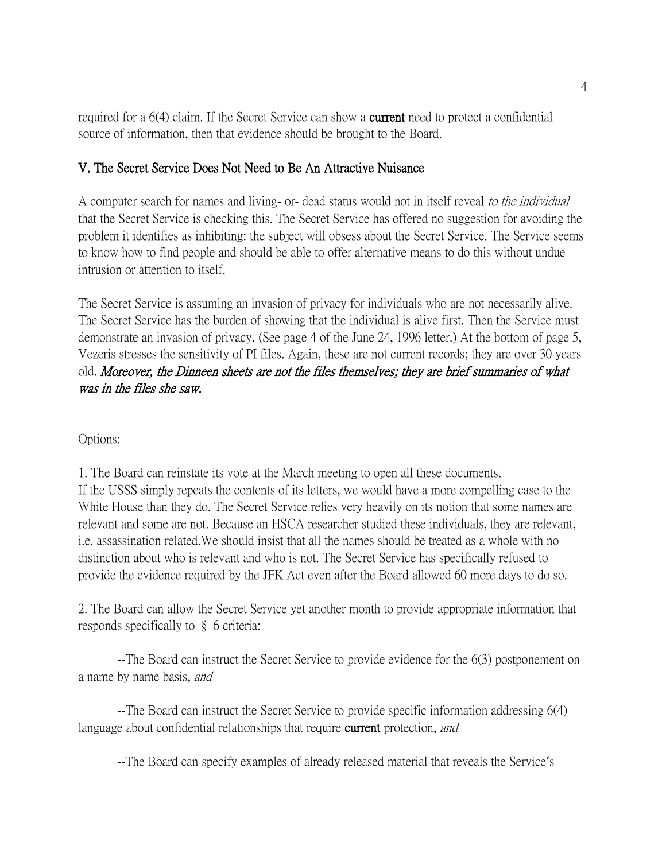required for a 6(4) claim. If the Secret Service can show a **current** need to protect a confidential source of information, then that evidence should be brought to the Board.

#### V. The Secret Service Does Not Need to Be An Attractive Nuisance

A computer search for names and living- or- dead status would not in itself reveal to the individual that the Secret Service is checking this. The Secret Service has offered no suggestion for avoiding the problem it identifies as inhibiting: the subject will obsess about the Secret Service. The Service seems to know how to find people and should be able to offer alternative means to do this without undue intrusion or attention to itself.

The Secret Service is assuming an invasion of privacy for individuals who are not necessarily alive. The Secret Service has the burden of showing that the individual is alive first. Then the Service must demonstrate an invasion of privacy. (See page 4 of the June 24, 1996 letter.) At the bottom of page 5, Vezeris stresses the sensitivity of PI files. Again, these are not current records; they are over 30 years old. Moreover, the Dinneen sheets are not the files themselves; they are brief summaries of what was in the files she saw.

Options:

1. The Board can reinstate its vote at the March meeting to open all these documents. If the USSS simply repeats the contents of its letters, we would have a more compelling case to the White House than they do. The Secret Service relies very heavily on its notion that some names are relevant and some are not. Because an HSCA researcher studied these individuals, they are relevant, i.e. assassination related.We should insist that all the names should be treated as a whole with no distinction about who is relevant and who is not. The Secret Service has specifically refused to provide the evidence required by the JFK Act even after the Board allowed 60 more days to do so.

2. The Board can allow the Secret Service yet another month to provide appropriate information that responds specifically to § 6 criteria:

--The Board can instruct the Secret Service to provide evidence for the 6(3) postponement on a name by name basis, and

--The Board can instruct the Secret Service to provide specific information addressing 6(4) language about confidential relationships that require **current** protection, and

--The Board can specify examples of already released material that reveals the Service's